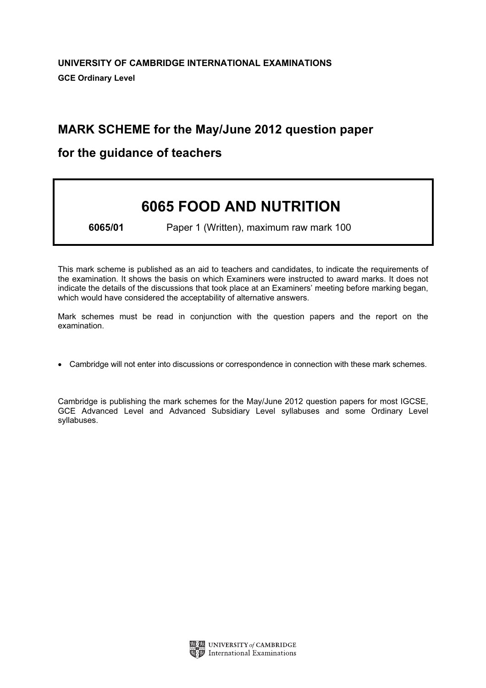# MARK SCHEME for the May/June 2012 question paper

# for the guidance of teachers

# 6065 FOOD AND NUTRITION

6065/01 Paper 1 (Written), maximum raw mark 100

This mark scheme is published as an aid to teachers and candidates, to indicate the requirements of the examination. It shows the basis on which Examiners were instructed to award marks. It does not indicate the details of the discussions that took place at an Examiners' meeting before marking began, which would have considered the acceptability of alternative answers.

Mark schemes must be read in conjunction with the question papers and the report on the examination.

*•* Cambridge will not enter into discussions or correspondence in connection with these mark schemes.

Cambridge is publishing the mark schemes for the May/June 2012 question papers for most IGCSE, GCE Advanced Level and Advanced Subsidiary Level syllabuses and some Ordinary Level syllabuses.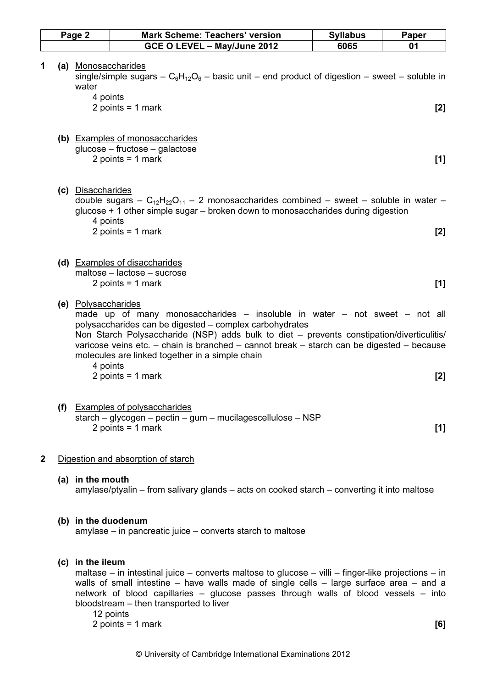|              | Page 2 |                                          | Mark Scheme: Teachers' version                                                                                                                                                                                                                                                                                                                                                           | <b>Syllabus</b> | Paper |
|--------------|--------|------------------------------------------|------------------------------------------------------------------------------------------------------------------------------------------------------------------------------------------------------------------------------------------------------------------------------------------------------------------------------------------------------------------------------------------|-----------------|-------|
|              |        |                                          | GCE O LEVEL - May/June 2012                                                                                                                                                                                                                                                                                                                                                              | 6065            | 01    |
| 1            |        | (a) Monosaccharides<br>water<br>4 points | single/simple sugars – $C_6H_{12}O_6$ – basic unit – end product of digestion – sweet – soluble in<br>2 points = $1$ mark                                                                                                                                                                                                                                                                |                 | [2]   |
|              |        |                                          | (b) Examples of monosaccharides<br>glucose – fructose – galactose<br>2 points = $1$ mark                                                                                                                                                                                                                                                                                                 |                 | $[1]$ |
|              |        | (c) Disaccharides<br>4 points            | double sugars – $C_{12}H_{22}O_{11}$ – 2 monosaccharides combined – sweet – soluble in water –<br>glucose $+1$ other simple sugar $-$ broken down to monosaccharides during digestion<br>2 points = $1$ mark                                                                                                                                                                             |                 | [2]   |
|              |        |                                          | (d) Examples of disaccharides<br>maltose - lactose - sucrose<br>2 points = $1$ mark                                                                                                                                                                                                                                                                                                      |                 | [1]   |
|              |        | (e) Polysaccharides<br>4 points          | made up of many monosaccharides $-$ insoluble in water $-$ not sweet $-$ not all<br>polysaccharides can be digested - complex carbohydrates<br>Non Starch Polysaccharide (NSP) adds bulk to diet - prevents constipation/diverticulitis/<br>varicose veins etc. - chain is branched - cannot break - starch can be digested - because<br>molecules are linked together in a simple chain |                 |       |
|              |        |                                          | 2 points = $1$ mark                                                                                                                                                                                                                                                                                                                                                                      |                 | [2]   |
|              | (f)    |                                          | <b>Examples of polysaccharides</b><br>starch – glycogen – pectin – gum – mucilagescellulose – NSP<br>2 points = $1$ mark                                                                                                                                                                                                                                                                 |                 | $[1]$ |
| $\mathbf{2}$ |        |                                          | Digestion and absorption of starch                                                                                                                                                                                                                                                                                                                                                       |                 |       |
|              |        | (a) in the mouth                         | amylase/ptyalin – from salivary glands – acts on cooked starch – converting it into maltose                                                                                                                                                                                                                                                                                              |                 |       |

# (b) in the duodenum

amylase – in pancreatic juice – converts starch to maltose

# (c) in the ileum

 maltase – in intestinal juice – converts maltose to glucose – villi – finger-like projections – in walls of small intestine – have walls made of single cells – large surface area – and a network of blood capillaries – glucose passes through walls of blood vessels – into bloodstream – then transported to liver

12 points

 $2 \text{ points} = 1 \text{ mark}$  [6]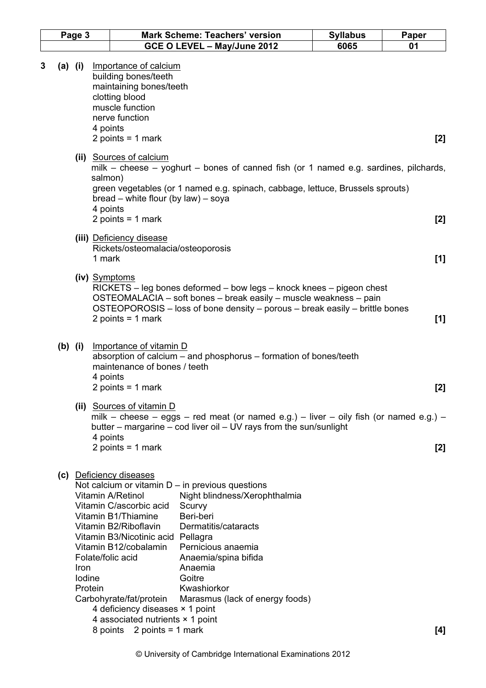|                | Page 3         | <b>Mark Scheme: Teachers' version</b>                                                                                                                                                                                                                                                                                                                                                                                                                                                                                                                                                                               | <b>Syllabus</b> | Paper |
|----------------|----------------|---------------------------------------------------------------------------------------------------------------------------------------------------------------------------------------------------------------------------------------------------------------------------------------------------------------------------------------------------------------------------------------------------------------------------------------------------------------------------------------------------------------------------------------------------------------------------------------------------------------------|-----------------|-------|
|                |                | GCE O LEVEL - May/June 2012                                                                                                                                                                                                                                                                                                                                                                                                                                                                                                                                                                                         | 6065            | 01    |
| 3<br>$(a)$ (i) |                | Importance of calcium<br>building bones/teeth<br>maintaining bones/teeth<br>clotting blood<br>muscle function<br>nerve function<br>4 points<br>2 points = $1$ mark                                                                                                                                                                                                                                                                                                                                                                                                                                                  |                 | $[2]$ |
|                |                | (ii) Sources of calcium<br>milk – cheese – yoghurt – bones of canned fish (or 1 named e.g. sardines, pilchards,<br>salmon)<br>green vegetables (or 1 named e.g. spinach, cabbage, lettuce, Brussels sprouts)<br>bread – white flour (by law) – soya<br>4 points                                                                                                                                                                                                                                                                                                                                                     |                 |       |
|                |                | 2 points = $1$ mark<br>(iii) Deficiency disease<br>Rickets/osteomalacia/osteoporosis                                                                                                                                                                                                                                                                                                                                                                                                                                                                                                                                |                 | $[2]$ |
|                |                | 1 mark<br>(iv) Symptoms                                                                                                                                                                                                                                                                                                                                                                                                                                                                                                                                                                                             |                 | [1]   |
|                |                | RICKETS – leg bones deformed – bow legs – knock knees – pigeon chest<br>OSTEOMALACIA - soft bones - break easily - muscle weakness - pain<br>OSTEOPOROSIS – loss of bone density – porous – break easily – brittle bones<br>2 points = $1$ mark                                                                                                                                                                                                                                                                                                                                                                     |                 | [1]   |
| $(b)$ (i)      |                | Importance of vitamin D<br>absorption of calcium – and phosphorus – formation of bones/teeth<br>maintenance of bones / teeth<br>4 points<br>2 points = $1$ mark                                                                                                                                                                                                                                                                                                                                                                                                                                                     |                 | [2]   |
|                |                | (ii) Sources of vitamin D<br>milk – cheese – eggs – red meat (or named e.g.) – liver – oily fish (or named e.g.) –<br>butter – margarine – cod liver oil – UV rays from the sun/sunlight<br>4 points                                                                                                                                                                                                                                                                                                                                                                                                                |                 |       |
|                |                | 2 points = $1$ mark                                                                                                                                                                                                                                                                                                                                                                                                                                                                                                                                                                                                 |                 | $[2]$ |
|                | Iron<br>lodine | (c) Deficiency diseases<br>Not calcium or vitamin $D - in$ previous questions<br>Vitamin A/Retinol<br>Night blindness/Xerophthalmia<br>Vitamin C/ascorbic acid<br>Scurvy<br>Beri-beri<br>Vitamin B1/Thiamine<br>Vitamin B2/Riboflavin<br>Dermatitis/cataracts<br>Vitamin B3/Nicotinic acid Pellagra<br>Vitamin B12/cobalamin<br>Pernicious anaemia<br>Folate/folic acid<br>Anaemia/spina bifida<br>Anaemia<br>Goitre<br>Kwashiorkor<br>Protein<br>Carbohyrate/fat/protein<br>Marasmus (lack of energy foods)<br>4 deficiency diseases × 1 point<br>4 associated nutrients × 1 point<br>8 points $2$ points = 1 mark |                 | $[4]$ |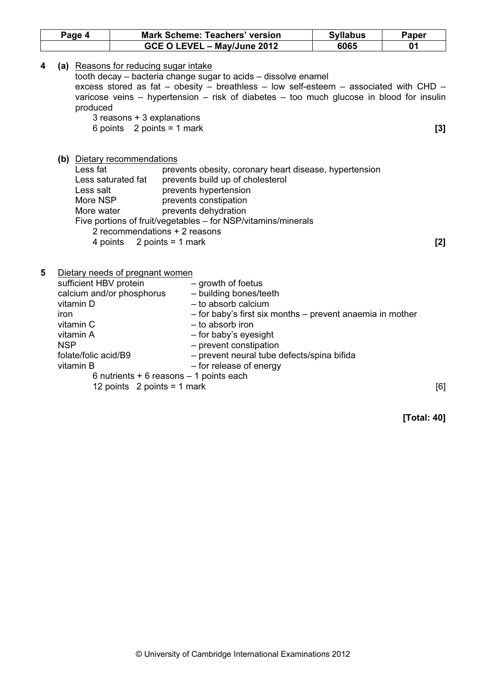| Page 4                                                                                                                        | <b>Mark Scheme: Teachers' version</b>                                                                                                                                                                                                                                                                                                                      |                                                                                                         | <b>Syllabus</b> | <b>Paper</b> |
|-------------------------------------------------------------------------------------------------------------------------------|------------------------------------------------------------------------------------------------------------------------------------------------------------------------------------------------------------------------------------------------------------------------------------------------------------------------------------------------------------|---------------------------------------------------------------------------------------------------------|-----------------|--------------|
|                                                                                                                               | GCE O LEVEL - May/June 2012                                                                                                                                                                                                                                                                                                                                |                                                                                                         | 6065            | 01           |
| produced                                                                                                                      | (a) Reasons for reducing sugar intake<br>tooth decay – bacteria change sugar to acids – dissolve enamel<br>excess stored as fat – obesity – breathless – low self-esteem – associated with CHD –<br>varicose veins – hypertension – risk of diabetes – too much glucose in blood for insulin<br>3 reasons + 3 explanations<br>6 points $2$ points = 1 mark |                                                                                                         |                 | $[3]$        |
| Less fat<br>Less salt<br>More NSP<br>More water<br>4 points                                                                   | (b) Dietary recommendations<br>prevents obesity, coronary heart disease, hypertension<br>Less saturated fat<br>prevents build up of cholesterol<br>prevents hypertension<br>prevents constipation<br>prevents dehydration<br>Five portions of fruit/vegetables - for NSP/vitamins/minerals<br>2 recommendations + 2 reasons<br>2 points = $1$ mark         |                                                                                                         |                 | $[2]$        |
| 5<br>sufficient HBV protein<br>vitamin D<br>iron<br>vitamin C<br>vitamin A<br><b>NSP</b><br>folate/folic acid/B9<br>vitamin B | Dietary needs of pregnant women<br>- growth of foetus<br>calcium and/or phosphorus<br>- building bones/teeth<br>- to absorb calcium<br>- to absorb iron<br>- for baby's eyesight<br>- prevent constipation<br>- for release of energy<br>6 nutrients $+ 6$ reasons $- 1$ points each<br>12 points $2$ points = 1 mark                                      | - for baby's first six months - prevent anaemia in mother<br>- prevent neural tube defects/spina bifida |                 | [6]          |

[Total: 40]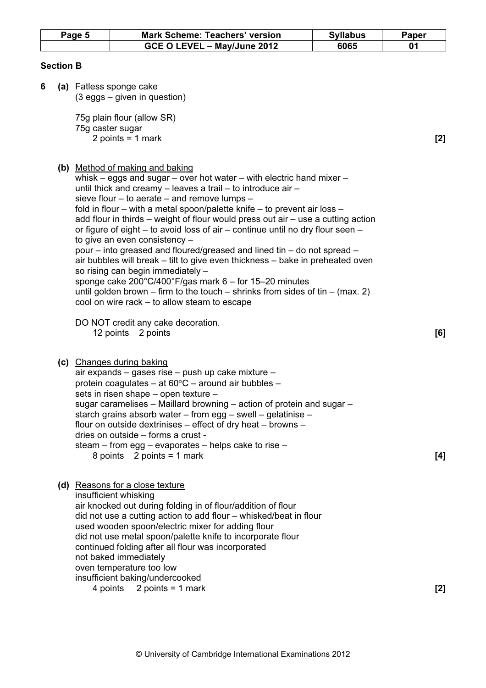|                  | Page 5 |  | <b>Mark Scheme: Teachers' version</b>                                                                                                                                                                                                                                                                                                                                                                                                                                                                                                                                                                                                                                                                                                                                                                                                                                                                  | <b>Syllabus</b> | <b>Paper</b> |
|------------------|--------|--|--------------------------------------------------------------------------------------------------------------------------------------------------------------------------------------------------------------------------------------------------------------------------------------------------------------------------------------------------------------------------------------------------------------------------------------------------------------------------------------------------------------------------------------------------------------------------------------------------------------------------------------------------------------------------------------------------------------------------------------------------------------------------------------------------------------------------------------------------------------------------------------------------------|-----------------|--------------|
|                  |        |  | GCE O LEVEL - May/June 2012                                                                                                                                                                                                                                                                                                                                                                                                                                                                                                                                                                                                                                                                                                                                                                                                                                                                            | 6065            | 01           |
| <b>Section B</b> |        |  |                                                                                                                                                                                                                                                                                                                                                                                                                                                                                                                                                                                                                                                                                                                                                                                                                                                                                                        |                 |              |
| 6                |        |  | (a) Fatless sponge cake<br>$(3 eggs - given in question)$                                                                                                                                                                                                                                                                                                                                                                                                                                                                                                                                                                                                                                                                                                                                                                                                                                              |                 |              |
|                  |        |  | 75g plain flour (allow SR)<br>75g caster sugar                                                                                                                                                                                                                                                                                                                                                                                                                                                                                                                                                                                                                                                                                                                                                                                                                                                         |                 |              |
|                  |        |  | 2 points = $1$ mark                                                                                                                                                                                                                                                                                                                                                                                                                                                                                                                                                                                                                                                                                                                                                                                                                                                                                    |                 | [2]          |
|                  |        |  | (b) Method of making and baking<br>whisk - eggs and sugar - over hot water - with electric hand mixer -<br>until thick and creamy – leaves a trail – to introduce air –<br>sieve flour - to aerate - and remove lumps -<br>fold in flour – with a metal spoon/palette knife – to prevent air loss –<br>add flour in thirds – weight of flour would press out air – use a cutting action<br>or figure of eight – to avoid loss of air – continue until no dry flour seen –<br>to give an even consistency -<br>pour – into greased and floured/greased and lined tin – do not spread –<br>air bubbles will break – tilt to give even thickness – bake in preheated oven<br>so rising can begin immediately -<br>sponge cake 200°C/400°F/gas mark 6 - for 15-20 minutes<br>until golden brown – firm to the touch – shrinks from sides of tin – (max. 2)<br>cool on wire rack – to allow steam to escape |                 |              |
|                  |        |  | DO NOT credit any cake decoration.<br>12 points 2 points                                                                                                                                                                                                                                                                                                                                                                                                                                                                                                                                                                                                                                                                                                                                                                                                                                               |                 | [6]          |
|                  |        |  | (c) Changes during baking<br>air expands - gases rise - push up cake mixture -<br>protein coagulates – at $60^{\circ}$ C – around air bubbles –<br>sets in risen shape - open texture -<br>sugar caramelises – Maillard browning – action of protein and sugar –<br>starch grains absorb water - from egg - swell - gelatinise -<br>flour on outside dextrinises $-$ effect of dry heat $-$ browns $-$<br>dries on outside - forms a crust -<br>steam – from egg – evaporates – helps cake to rise –<br>8 points $2$ points = 1 mark                                                                                                                                                                                                                                                                                                                                                                   |                 | [4]          |
|                  |        |  | (d) Reasons for a close texture<br>insufficient whisking<br>air knocked out during folding in of flour/addition of flour<br>did not use a cutting action to add flour - whisked/beat in flour<br>used wooden spoon/electric mixer for adding flour<br>did not use metal spoon/palette knife to incorporate flour<br>continued folding after all flour was incorporated<br>not baked immediately<br>oven temperature too low<br>insufficient baking/undercooked<br>4 points $2$ points = 1 mark                                                                                                                                                                                                                                                                                                                                                                                                         |                 | $[2]$        |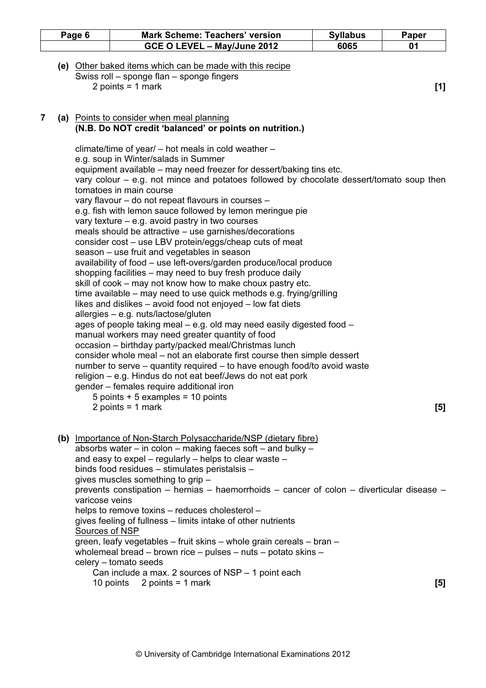| Page 6                                                                                                                                                                                                                                                                                        | <b>Mark Scheme: Teachers' version</b> | <b>Syllabus</b>                                                                                                                                                                                                                                                                                                                                                                                                                                                                                                                                                                                                                                                                                                                                                                                                                                                                                                                                                                                                                                                                                                                                                                                                                                                                                                                                         | Paper                                                                                                                                                                                                                                                                                                                                                                                                                                                                                                                                                                                                                                                                                                                                                                                                                                                                                                                            |
|-----------------------------------------------------------------------------------------------------------------------------------------------------------------------------------------------------------------------------------------------------------------------------------------------|---------------------------------------|---------------------------------------------------------------------------------------------------------------------------------------------------------------------------------------------------------------------------------------------------------------------------------------------------------------------------------------------------------------------------------------------------------------------------------------------------------------------------------------------------------------------------------------------------------------------------------------------------------------------------------------------------------------------------------------------------------------------------------------------------------------------------------------------------------------------------------------------------------------------------------------------------------------------------------------------------------------------------------------------------------------------------------------------------------------------------------------------------------------------------------------------------------------------------------------------------------------------------------------------------------------------------------------------------------------------------------------------------------|----------------------------------------------------------------------------------------------------------------------------------------------------------------------------------------------------------------------------------------------------------------------------------------------------------------------------------------------------------------------------------------------------------------------------------------------------------------------------------------------------------------------------------------------------------------------------------------------------------------------------------------------------------------------------------------------------------------------------------------------------------------------------------------------------------------------------------------------------------------------------------------------------------------------------------|
|                                                                                                                                                                                                                                                                                               | GCE O LEVEL - May/June 2012           | 6065                                                                                                                                                                                                                                                                                                                                                                                                                                                                                                                                                                                                                                                                                                                                                                                                                                                                                                                                                                                                                                                                                                                                                                                                                                                                                                                                                    | 01                                                                                                                                                                                                                                                                                                                                                                                                                                                                                                                                                                                                                                                                                                                                                                                                                                                                                                                               |
|                                                                                                                                                                                                                                                                                               |                                       |                                                                                                                                                                                                                                                                                                                                                                                                                                                                                                                                                                                                                                                                                                                                                                                                                                                                                                                                                                                                                                                                                                                                                                                                                                                                                                                                                         | $[1]$                                                                                                                                                                                                                                                                                                                                                                                                                                                                                                                                                                                                                                                                                                                                                                                                                                                                                                                            |
|                                                                                                                                                                                                                                                                                               |                                       |                                                                                                                                                                                                                                                                                                                                                                                                                                                                                                                                                                                                                                                                                                                                                                                                                                                                                                                                                                                                                                                                                                                                                                                                                                                                                                                                                         |                                                                                                                                                                                                                                                                                                                                                                                                                                                                                                                                                                                                                                                                                                                                                                                                                                                                                                                                  |
| e.g. soup in Winter/salads in Summer<br>tomatoes in main course<br>vary texture $-$ e.g. avoid pastry in two courses<br>season – use fruit and vegetables in season<br>allergies - e.g. nuts/lactose/gluten<br>gender - females require additional iron<br>5 points $+5$ examples = 10 points |                                       |                                                                                                                                                                                                                                                                                                                                                                                                                                                                                                                                                                                                                                                                                                                                                                                                                                                                                                                                                                                                                                                                                                                                                                                                                                                                                                                                                         | [5]                                                                                                                                                                                                                                                                                                                                                                                                                                                                                                                                                                                                                                                                                                                                                                                                                                                                                                                              |
|                                                                                                                                                                                                                                                                                               |                                       |                                                                                                                                                                                                                                                                                                                                                                                                                                                                                                                                                                                                                                                                                                                                                                                                                                                                                                                                                                                                                                                                                                                                                                                                                                                                                                                                                         | [5]                                                                                                                                                                                                                                                                                                                                                                                                                                                                                                                                                                                                                                                                                                                                                                                                                                                                                                                              |
|                                                                                                                                                                                                                                                                                               |                                       |                                                                                                                                                                                                                                                                                                                                                                                                                                                                                                                                                                                                                                                                                                                                                                                                                                                                                                                                                                                                                                                                                                                                                                                                                                                                                                                                                         |                                                                                                                                                                                                                                                                                                                                                                                                                                                                                                                                                                                                                                                                                                                                                                                                                                                                                                                                  |
|                                                                                                                                                                                                                                                                                               |                                       | (e) Other baked items which can be made with this recipe<br>Swiss roll - sponge flan - sponge fingers<br>2 points = $1$ mark<br>(a) Points to consider when meal planning<br>(N.B. Do NOT credit 'balanced' or points on nutrition.)<br>climate/time of year/ – hot meals in cold weather –<br>vary flavour - do not repeat flavours in courses -<br>e.g. fish with lemon sauce followed by lemon meringue pie<br>meals should be attractive - use garnishes/decorations<br>consider cost – use LBV protein/eggs/cheap cuts of meat<br>shopping facilities – may need to buy fresh produce daily<br>skill of cook – may not know how to make choux pastry etc.<br>likes and dislikes - avoid food not enjoyed - low fat diets<br>manual workers may need greater quantity of food<br>occasion - birthday party/packed meal/Christmas lunch<br>religion – e.g. Hindus do not eat beef/Jews do not eat pork<br>2 points = $1$ mark<br>and easy to expel – regularly – helps to clear waste –<br>binds food residues - stimulates peristalsis -<br>gives muscles something to grip -<br>varicose veins<br>helps to remove toxins – reduces cholesterol –<br>gives feeling of fullness – limits intake of other nutrients<br>Sources of NSP<br>celery - tomato seeds<br>Can include a max. 2 sources of NSP - 1 point each<br>10 points $2$ points = 1 mark | equipment available – may need freezer for dessert/baking tins etc.<br>vary colour $-$ e.g. not mince and potatoes followed by chocolate dessert/tomato soup then<br>availability of food - use left-overs/garden produce/local produce<br>time available – may need to use quick methods e.g. frying/grilling<br>ages of people taking meal – e.g. old may need easily digested food –<br>consider whole meal – not an elaborate first course then simple dessert<br>number to serve – quantity required – to have enough food/to avoid waste<br>(b) Importance of Non-Starch Polysaccharide/NSP (dietary fibre)<br>absorbs water – in colon – making faeces soft – and bulky –<br>prevents constipation - hernias - haemorrhoids - cancer of colon - diverticular disease -<br>green, leafy vegetables - fruit skins - whole grain cereals - bran -<br>wholemeal bread $-$ brown rice $-$ pulses $-$ nuts $-$ potato skins $-$ |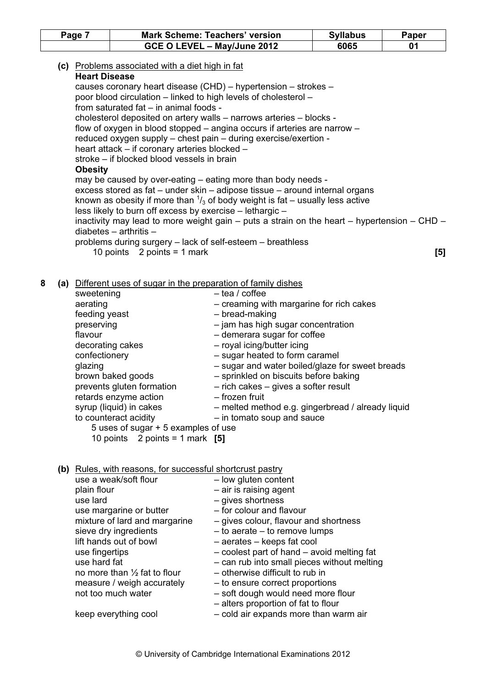| Page 7 |                                                                                              |                                                                                                                                                                                                                                                                                                                     | <b>Mark Scheme: Teachers' version</b>                                                                                                                                                                                                                                                                                                                                                                                                                                                                                                                                                                                                                                                                                                                                  | <b>Syllabus</b> | <b>Paper</b> |
|--------|----------------------------------------------------------------------------------------------|---------------------------------------------------------------------------------------------------------------------------------------------------------------------------------------------------------------------------------------------------------------------------------------------------------------------|------------------------------------------------------------------------------------------------------------------------------------------------------------------------------------------------------------------------------------------------------------------------------------------------------------------------------------------------------------------------------------------------------------------------------------------------------------------------------------------------------------------------------------------------------------------------------------------------------------------------------------------------------------------------------------------------------------------------------------------------------------------------|-----------------|--------------|
|        |                                                                                              |                                                                                                                                                                                                                                                                                                                     | GCE O LEVEL - May/June 2012                                                                                                                                                                                                                                                                                                                                                                                                                                                                                                                                                                                                                                                                                                                                            | 6065            | 01           |
|        | <b>Heart Disease</b><br><b>Obesity</b>                                                       | (c) Problems associated with a diet high in fat<br>from saturated fat - in animal foods -<br>heart attack - if coronary arteries blocked -<br>stroke – if blocked blood vessels in brain<br>less likely to burn off excess by exercise - lethargic -<br>diabetes $-$ arthritis $-$<br>10 points $2$ points = 1 mark | causes coronary heart disease (CHD) - hypertension - strokes -<br>poor blood circulation – linked to high levels of cholesterol –<br>cholesterol deposited on artery walls - narrows arteries - blocks -<br>flow of oxygen in blood stopped – angina occurs if arteries are narrow –<br>reduced oxygen supply - chest pain - during exercise/exertion -<br>may be caused by over-eating – eating more than body needs -<br>excess stored as fat - under skin - adipose tissue - around internal organs<br>known as obesity if more than $\frac{1}{3}$ of body weight is fat – usually less active<br>inactivity may lead to more weight gain $-$ puts a strain on the heart $-$ hypertension $-$ CHD $-$<br>problems during surgery - lack of self-esteem - breathless |                 | $[5]$        |
|        |                                                                                              |                                                                                                                                                                                                                                                                                                                     |                                                                                                                                                                                                                                                                                                                                                                                                                                                                                                                                                                                                                                                                                                                                                                        |                 |              |
| 8      | sweetening<br>aerating<br>feeding yeast<br>preserving<br>flavour<br>confectionery<br>glazing | decorating cakes<br>brown baked goods<br>prevents gluten formation<br>retards enzyme action<br>syrup (liquid) in cakes<br>to counteract acidity<br>5 uses of sugar + 5 examples of use<br>10 points $2$ points = 1 mark [5]                                                                                         | (a) Different uses of sugar in the preparation of family dishes<br>$-$ tea / coffee<br>- creaming with margarine for rich cakes<br>- bread-making<br>- jam has high sugar concentration<br>- demerara sugar for coffee<br>- royal icing/butter icing<br>- sugar heated to form caramel<br>- sugar and water boiled/glaze for sweet breads<br>- sprinkled on biscuits before baking<br>$-$ rich cakes $-$ gives a softer result<br>- frozen fruit<br>- melted method e.g. gingerbread / already liquid<br>- in tomato soup and sauce                                                                                                                                                                                                                                    |                 |              |
|        | plain flour<br>use lard<br>use fingertips<br>use hard fat                                    | (b) Rules, with reasons, for successful shortcrust pastry<br>use a weak/soft flour<br>use margarine or butter<br>mixture of lard and margarine<br>sieve dry ingredients<br>lift hands out of bowl<br>no more than 1/2 fat to flour<br>measure / weigh accurately<br>not too much water<br>keep everything cool      | - low gluten content<br>- air is raising agent<br>$-$ gives shortness<br>- for colour and flavour<br>- gives colour, flavour and shortness<br>- to aerate - to remove lumps<br>- aerates - keeps fat cool<br>- coolest part of hand - avoid melting fat<br>- can rub into small pieces without melting<br>- otherwise difficult to rub in<br>- to ensure correct proportions<br>- soft dough would need more flour<br>- alters proportion of fat to flour<br>- cold air expands more than warm air                                                                                                                                                                                                                                                                     |                 |              |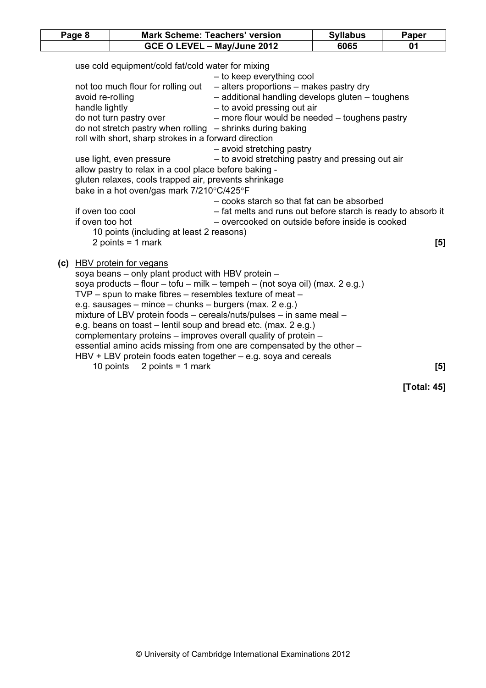| Page 8                              |                                                                                                                                                                                                                                                                    | <b>Mark Scheme: Teachers' version</b>                                                                                                                                                                                                                                                                                                                                                                                             | <b>Syllabus</b> | <b>Paper</b> |
|-------------------------------------|--------------------------------------------------------------------------------------------------------------------------------------------------------------------------------------------------------------------------------------------------------------------|-----------------------------------------------------------------------------------------------------------------------------------------------------------------------------------------------------------------------------------------------------------------------------------------------------------------------------------------------------------------------------------------------------------------------------------|-----------------|--------------|
|                                     |                                                                                                                                                                                                                                                                    | GCE O LEVEL - May/June 2012                                                                                                                                                                                                                                                                                                                                                                                                       | 6065            | 01           |
| avoid re-rolling<br>handle lightly  | use cold equipment/cold fat/cold water for mixing<br>not too much flour for rolling out<br>do not turn pastry over<br>roll with short, sharp strokes in a forward direction<br>use light, even pressure                                                            | - to keep everything cool<br>- alters proportions - makes pastry dry<br>- additional handling develops gluten - toughens<br>- to avoid pressing out air<br>- more flour would be needed - toughens pastry<br>do not stretch pastry when rolling $-$ shrinks during baking<br>- avoid stretching pastry<br>- to avoid stretching pastry and pressing out air                                                                       |                 |              |
| if oven too cool<br>if oven too hot | allow pastry to relax in a cool place before baking -<br>gluten relaxes, cools trapped air, prevents shrinkage<br>bake in a hot oven/gas mark 7/210°C/425°F<br>10 points (including at least 2 reasons)                                                            | - cooks starch so that fat can be absorbed<br>- fat melts and runs out before starch is ready to absorb it<br>- overcooked on outside before inside is cooked                                                                                                                                                                                                                                                                     |                 |              |
|                                     | 2 points = $1$ mark<br>(c) HBV protein for vegans<br>soya beans – only plant product with HBV protein –<br>$TVP$ – spun to make fibres – resembles texture of meat –<br>e.g. sausages – mince – chunks – burgers (max. 2 e.g.)<br>2 points = $1$ mark<br>10 points | soya products - flour - tofu - milk - tempeh - (not soya oil) (max. 2 e.g.)<br>mixture of LBV protein foods - cereals/nuts/pulses - in same meal -<br>e.g. beans on toast – lentil soup and bread etc. (max. 2 e.g.)<br>complementary proteins - improves overall quality of protein -<br>essential amino acids missing from one are compensated by the other -<br>HBV + LBV protein foods eaten together - e.g. soya and cereals |                 | [5]<br>[5]   |
|                                     |                                                                                                                                                                                                                                                                    |                                                                                                                                                                                                                                                                                                                                                                                                                                   |                 | [Total: 45]  |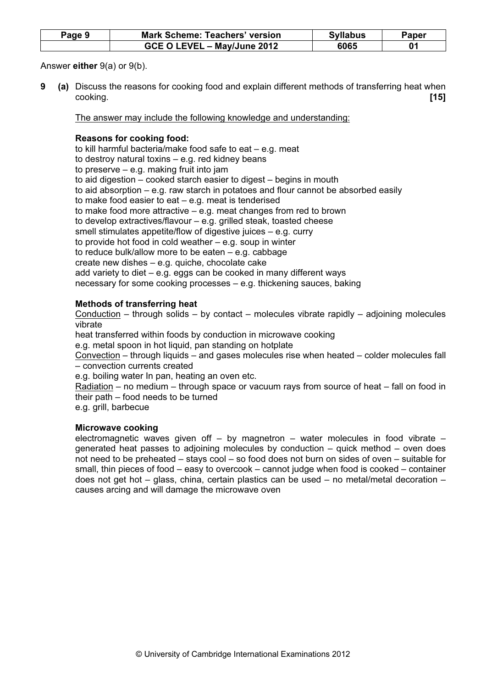| Page 9 | <b>Mark Scheme: Teachers' version</b> | <b>Syllabus</b> | Paper |
|--------|---------------------------------------|-----------------|-------|
|        | GCE O LEVEL - May/June 2012           | 6065            |       |

Answer either 9(a) or 9(b).

9 (a) Discuss the reasons for cooking food and explain different methods of transferring heat when cooking. [15]

The answer may include the following knowledge and understanding:

## Reasons for cooking food:

to kill harmful bacteria/make food safe to eat – e.g. meat to destroy natural toxins – e.g. red kidney beans to preserve – e.g. making fruit into jam to aid digestion – cooked starch easier to digest – begins in mouth to aid absorption – e.g. raw starch in potatoes and flour cannot be absorbed easily to make food easier to eat – e.g. meat is tenderised to make food more attractive – e.g. meat changes from red to brown to develop extractives/flavour – e.g. grilled steak, toasted cheese smell stimulates appetite/flow of digestive juices – e.g. curry to provide hot food in cold weather – e.g. soup in winter to reduce bulk/allow more to be eaten – e.g. cabbage create new dishes – e.g. quiche, chocolate cake add variety to diet – e.g. eggs can be cooked in many different ways necessary for some cooking processes – e.g. thickening sauces, baking

## Methods of transferring heat

Conduction – through solids – by contact – molecules vibrate rapidly – adjoining molecules vibrate

heat transferred within foods by conduction in microwave cooking

e.g. metal spoon in hot liquid, pan standing on hotplate

Convection – through liquids – and gases molecules rise when heated – colder molecules fall – convection currents created

e.g. boiling water In pan, heating an oven etc.

Radiation – no medium – through space or vacuum rays from source of heat – fall on food in their path – food needs to be turned

e.g. grill, barbecue

#### Microwave cooking

electromagnetic waves given off  $-$  by magnetron  $-$  water molecules in food vibrate  $$ generated heat passes to adjoining molecules by conduction – quick method – oven does not need to be preheated – stays cool – so food does not burn on sides of oven – suitable for small, thin pieces of food – easy to overcook – cannot judge when food is cooked – container does not get hot – glass, china, certain plastics can be used – no metal/metal decoration – causes arcing and will damage the microwave oven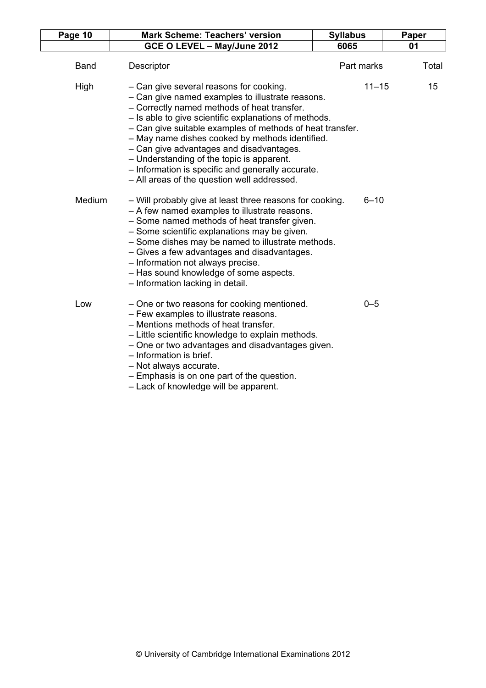| Page 10     | <b>Mark Scheme: Teachers' version</b>                                                                                                                                                                                                                                                                                                                                                                                                                                                                            | <b>Syllabus</b> | Paper |
|-------------|------------------------------------------------------------------------------------------------------------------------------------------------------------------------------------------------------------------------------------------------------------------------------------------------------------------------------------------------------------------------------------------------------------------------------------------------------------------------------------------------------------------|-----------------|-------|
|             | GCE O LEVEL - May/June 2012                                                                                                                                                                                                                                                                                                                                                                                                                                                                                      | 6065            | 01    |
| <b>Band</b> | Descriptor                                                                                                                                                                                                                                                                                                                                                                                                                                                                                                       | Part marks      | Total |
| High        | - Can give several reasons for cooking.<br>- Can give named examples to illustrate reasons.<br>- Correctly named methods of heat transfer.<br>- Is able to give scientific explanations of methods.<br>- Can give suitable examples of methods of heat transfer.<br>- May name dishes cooked by methods identified.<br>- Can give advantages and disadvantages.<br>- Understanding of the topic is apparent.<br>- Information is specific and generally accurate.<br>- All areas of the question well addressed. | $11 - 15$       | 15    |
| Medium      | - Will probably give at least three reasons for cooking.<br>- A few named examples to illustrate reasons.<br>- Some named methods of heat transfer given.<br>- Some scientific explanations may be given.<br>- Some dishes may be named to illustrate methods.<br>- Gives a few advantages and disadvantages.<br>- Information not always precise.<br>- Has sound knowledge of some aspects.<br>- Information lacking in detail.                                                                                 | $6 - 10$        |       |
| Low         | - One or two reasons for cooking mentioned.<br>- Few examples to illustrate reasons.<br>- Mentions methods of heat transfer.<br>- Little scientific knowledge to explain methods.<br>- One or two advantages and disadvantages given.<br>- Information is brief.<br>- Not always accurate.<br>- Emphasis is on one part of the question.<br>- Lack of knowledge will be apparent.                                                                                                                                | $0 - 5$         |       |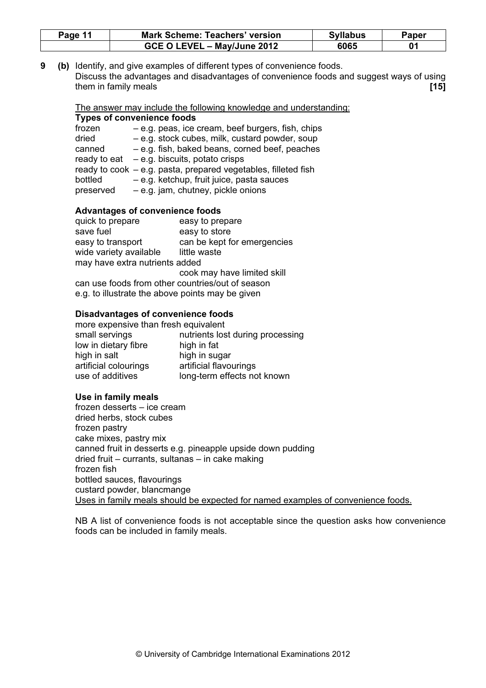| Page 11 | <b>Mark Scheme: Teachers' version</b> | <b>Syllabus</b> | Paper |
|---------|---------------------------------------|-----------------|-------|
|         | GCE O LEVEL - May/June 2012           | 6065            |       |

9 (b) Identify, and give examples of different types of convenience foods. Discuss the advantages and disadvantages of convenience foods and suggest ways of using them in family meals **and the set of the set of the set of the set of the set of the set of the set of the set o** 

The answer may include the following knowledge and understanding: Types of convenience foods

| frozen    | - e.g. peas, ice cream, beef burgers, fish, chips               |
|-----------|-----------------------------------------------------------------|
| dried     | - e.g. stock cubes, milk, custard powder, soup                  |
| canned    | - e.g. fish, baked beans, corned beef, peaches                  |
|           | ready to eat $-e.g.$ biscuits, potato crisps                    |
|           | ready to cook $-e.g.$ pasta, prepared vegetables, filleted fish |
| bottled   | - e.g. ketchup, fruit juice, pasta sauces                       |
| preserved | - e.g. jam, chutney, pickle onions                              |

#### Advantages of convenience foods

| quick to prepare                                 | easy to prepare             |
|--------------------------------------------------|-----------------------------|
| save fuel                                        | easy to store               |
| easy to transport                                | can be kept for emergencies |
| wide variety available                           | little waste                |
| may have extra nutrients added                   |                             |
|                                                  | cook may have limited skill |
| can use foods from other countries/out of season |                             |
| a a ta illuatuata tha ahaya nainte neoy ha aiyan |                             |

e.g. to illustrate the above points may be given

#### Disadvantages of convenience foods

| more expensive than fresh equivalent |  |  |  |  |  |  |
|--------------------------------------|--|--|--|--|--|--|
| nutrients lost during processing     |  |  |  |  |  |  |
| high in fat                          |  |  |  |  |  |  |
| high in sugar                        |  |  |  |  |  |  |
| artificial flavourings               |  |  |  |  |  |  |
| long-term effects not known          |  |  |  |  |  |  |
|                                      |  |  |  |  |  |  |

#### Use in family meals

frozen desserts – ice cream dried herbs, stock cubes frozen pastry cake mixes, pastry mix canned fruit in desserts e.g. pineapple upside down pudding dried fruit – currants, sultanas – in cake making frozen fish bottled sauces, flavourings custard powder, blancmange Uses in family meals should be expected for named examples of convenience foods.

NB A list of convenience foods is not acceptable since the question asks how convenience foods can be included in family meals.